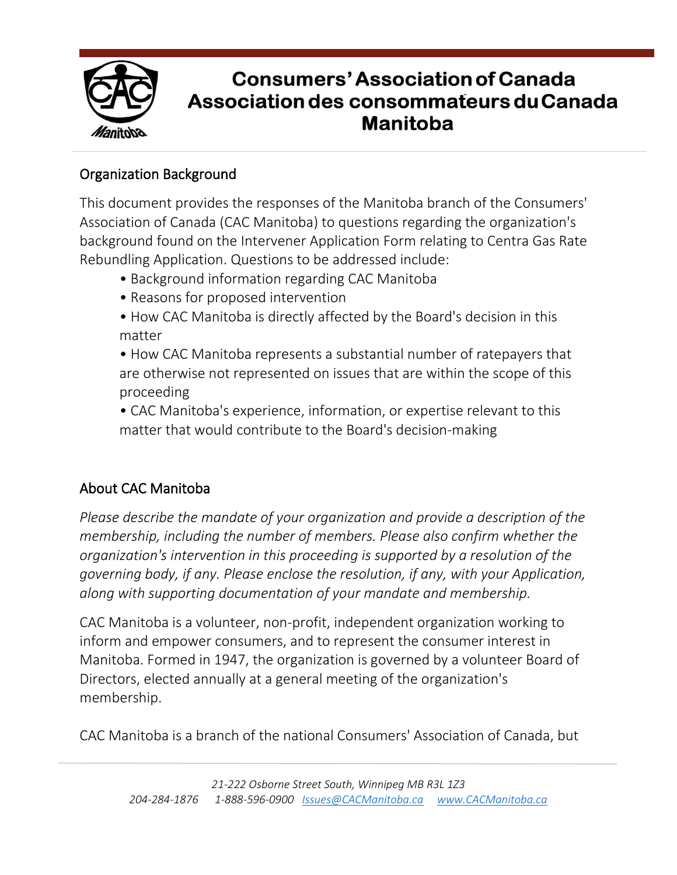

# **Consumers' Association of Canada** Association des consommateurs du Canada **Manitoba**

#### Organization Background

This document provides the responses of the Manitoba branch of the Consumers' Association of Canada (CAC Manitoba) to questions regarding the organization's background found on the Intervener Application Form relating to Centra Gas Rate Rebundling Application. Questions to be addressed include:

- Background information regarding CAC Manitoba
- Reasons for proposed intervention
- How CAC Manitoba is directly affected by the Board's decision in this matter

• How CAC Manitoba represents a substantial number of ratepayers that are otherwise not represented on issues that are within the scope of this proceeding

• CAC Manitoba's experience, information, or expertise relevant to this matter that would contribute to the Board's decision-making

# About CAC Manitoba

*Please describe the mandate of your organization and provide a description of the membership, including the number of members. Please also confirm whether the organization's intervention in this proceeding is supported by a resolution of the governing body, if any. Please enclose the resolution, if any, with your Application, along with supporting documentation of your mandate and membership.*

CAC Manitoba is a volunteer, non-profit, independent organization working to inform and empower consumers, and to represent the consumer interest in Manitoba. Formed in 1947, the organization is governed by a volunteer Board of Directors, elected annually at a general meeting of the organization's membership.

CAC Manitoba is a branch of the national Consumers' Association of Canada, but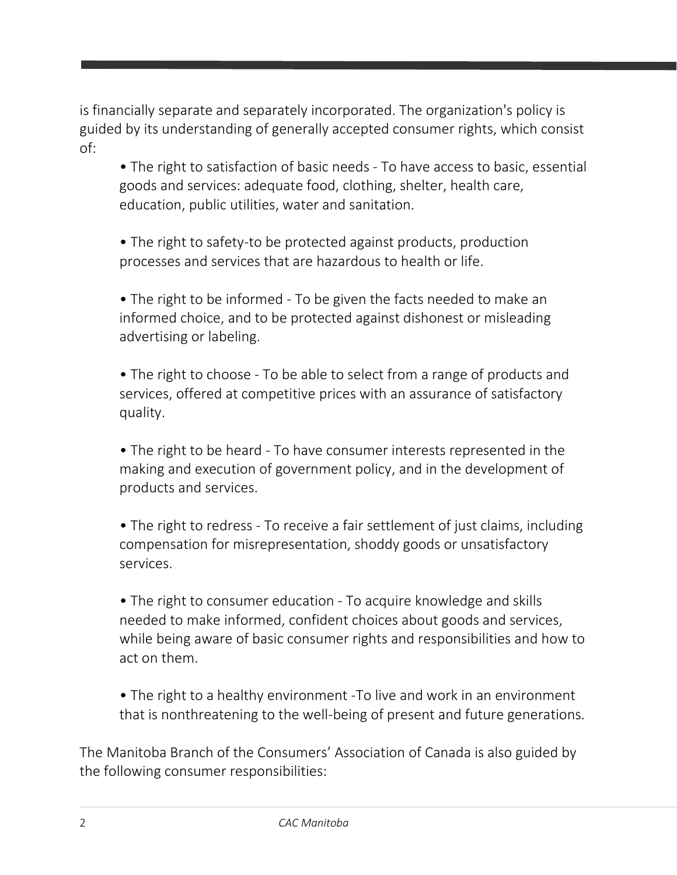is financially separate and separately incorporated. The organization's policy is guided by its understanding of generally accepted consumer rights, which consist of:

• The right to satisfaction of basic needs - To have access to basic, essential goods and services: adequate food, clothing, shelter, health care, education, public utilities, water and sanitation.

• The right to safety-to be protected against products, production processes and services that are hazardous to health or life.

• The right to be informed - To be given the facts needed to make an informed choice, and to be protected against dishonest or misleading advertising or labeling.

• The right to choose - To be able to select from a range of products and services, offered at competitive prices with an assurance of satisfactory quality.

• The right to be heard - To have consumer interests represented in the making and execution of government policy, and in the development of products and services.

• The right to redress - To receive a fair settlement of just claims, including compensation for misrepresentation, shoddy goods or unsatisfactory services.

• The right to consumer education - To acquire knowledge and skills needed to make informed, confident choices about goods and services, while being aware of basic consumer rights and responsibilities and how to act on them.

• The right to a healthy environment -To live and work in an environment that is nonthreatening to the well-being of present and future generations.

The Manitoba Branch of the Consumers' Association of Canada is also guided by the following consumer responsibilities: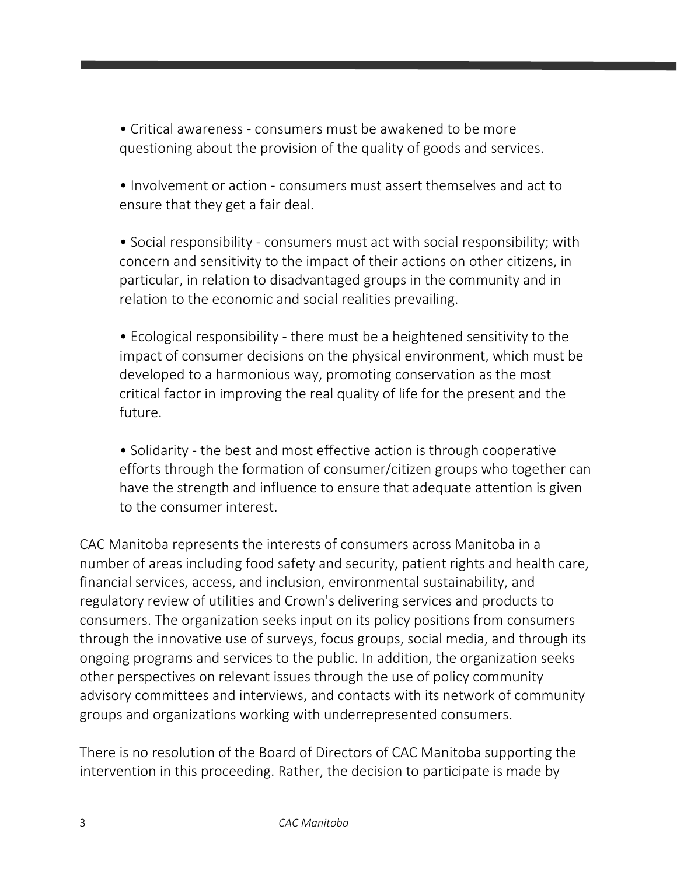• Critical awareness - consumers must be awakened to be more questioning about the provision of the quality of goods and services.

• Involvement or action - consumers must assert themselves and act to ensure that they get a fair deal.

• Social responsibility - consumers must act with social responsibility; with concern and sensitivity to the impact of their actions on other citizens, in particular, in relation to disadvantaged groups in the community and in relation to the economic and social realities prevailing.

• Ecological responsibility - there must be a heightened sensitivity to the impact of consumer decisions on the physical environment, which must be developed to a harmonious way, promoting conservation as the most critical factor in improving the real quality of life for the present and the future.

• Solidarity - the best and most effective action is through cooperative efforts through the formation of consumer/citizen groups who together can have the strength and influence to ensure that adequate attention is given to the consumer interest.

CAC Manitoba represents the interests of consumers across Manitoba in a number of areas including food safety and security, patient rights and health care, financial services, access, and inclusion, environmental sustainability, and regulatory review of utilities and Crown's delivering services and products to consumers. The organization seeks input on its policy positions from consumers through the innovative use of surveys, focus groups, social media, and through its ongoing programs and services to the public. In addition, the organization seeks other perspectives on relevant issues through the use of policy community advisory committees and interviews, and contacts with its network of community groups and organizations working with underrepresented consumers.

There is no resolution of the Board of Directors of CAC Manitoba supporting the intervention in this proceeding. Rather, the decision to participate is made by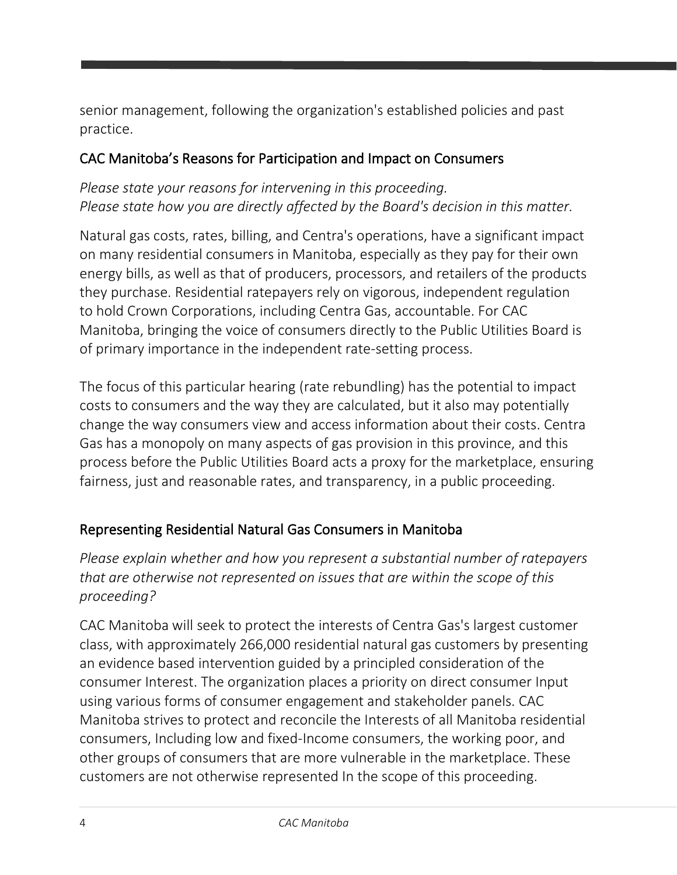senior management, following the organization's established policies and past practice.

#### CAC Manitoba's Reasons for Participation and Impact on Consumers

#### *Please state your reasons for intervening in this proceeding. Please state how you are directly affected by the Board's decision in this matter.*

Natural gas costs, rates, billing, and Centra's operations, have a significant impact on many residential consumers in Manitoba, especially as they pay for their own energy bills, as well as that of producers, processors, and retailers of the products they purchase. Residential ratepayers rely on vigorous, independent regulation to hold Crown Corporations, including Centra Gas, accountable. For CAC Manitoba, bringing the voice of consumers directly to the Public Utilities Board is of primary importance in the independent rate-setting process.

The focus of this particular hearing (rate rebundling) has the potential to impact costs to consumers and the way they are calculated, but it also may potentially change the way consumers view and access information about their costs. Centra Gas has a monopoly on many aspects of gas provision in this province, and this process before the Public Utilities Board acts a proxy for the marketplace, ensuring fairness, just and reasonable rates, and transparency, in a public proceeding.

## Representing Residential Natural Gas Consumers in Manitoba

*Please explain whether and how you represent a substantial number of ratepayers that are otherwise not represented on issues that are within the scope of this proceeding?*

CAC Manitoba will seek to protect the interests of Centra Gas's largest customer class, with approximately 266,000 residential natural gas customers by presenting an evidence based intervention guided by a principled consideration of the consumer Interest. The organization places a priority on direct consumer Input using various forms of consumer engagement and stakeholder panels. CAC Manitoba strives to protect and reconcile the Interests of all Manitoba residential consumers, Including low and fixed-Income consumers, the working poor, and other groups of consumers that are more vulnerable in the marketplace. These customers are not otherwise represented In the scope of this proceeding.